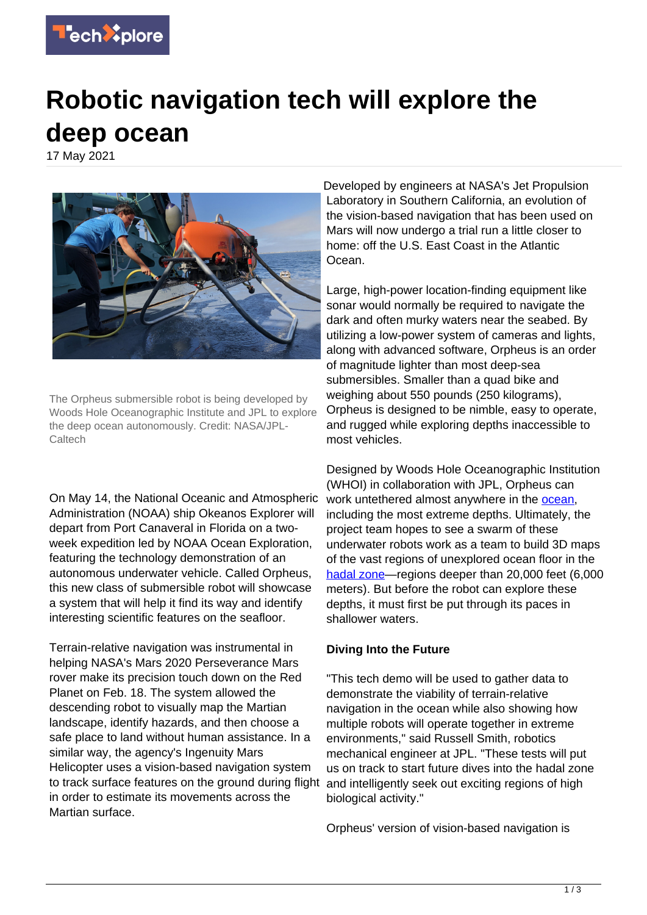

## **Robotic navigation tech will explore the deep ocean**

17 May 2021



The Orpheus submersible robot is being developed by Woods Hole Oceanographic Institute and JPL to explore the deep ocean autonomously. Credit: NASA/JPL-**Caltech** 

On May 14, the National Oceanic and Atmospheric Administration (NOAA) ship Okeanos Explorer will depart from Port Canaveral in Florida on a twoweek expedition led by NOAA Ocean Exploration, featuring the technology demonstration of an autonomous underwater vehicle. Called Orpheus, this new class of submersible robot will showcase a system that will help it find its way and identify interesting scientific features on the seafloor.

Terrain-relative navigation was instrumental in helping NASA's Mars 2020 Perseverance Mars rover make its precision touch down on the Red Planet on Feb. 18. The system allowed the descending robot to visually map the Martian landscape, identify hazards, and then choose a safe place to land without human assistance. In a similar way, the agency's Ingenuity Mars Helicopter uses a vision-based navigation system to track surface features on the ground during flight in order to estimate its movements across the Martian surface.

Developed by engineers at NASA's Jet Propulsion Laboratory in Southern California, an evolution of the vision-based navigation that has been used on Mars will now undergo a trial run a little closer to home: off the U.S. East Coast in the Atlantic Ocean.

Large, high-power location-finding equipment like sonar would normally be required to navigate the dark and often murky waters near the seabed. By utilizing a low-power system of cameras and lights, along with advanced software, Orpheus is an order of magnitude lighter than most deep-sea submersibles. Smaller than a quad bike and weighing about 550 pounds (250 kilograms), Orpheus is designed to be nimble, easy to operate, and rugged while exploring depths inaccessible to most vehicles.

Designed by Woods Hole Oceanographic Institution (WHOI) in collaboration with JPL, Orpheus can work untethered almost anywhere in the ocean. including the most extreme depths. Ultimately, the project team hopes to see a swarm of these underwater robots work as a team to build 3D maps of the vast regions of unexplored ocean floor in the [hadal zone](https://techxplore.com/tags/hadal+zone/)—regions deeper than 20,000 feet (6,000 meters). But before the robot can explore these depths, it must first be put through its paces in shallower waters.

## **Diving Into the Future**

"This tech demo will be used to gather data to demonstrate the viability of terrain-relative navigation in the ocean while also showing how multiple robots will operate together in extreme environments," said Russell Smith, robotics mechanical engineer at JPL. "These tests will put us on track to start future dives into the hadal zone and intelligently seek out exciting regions of high biological activity."

Orpheus' version of vision-based navigation is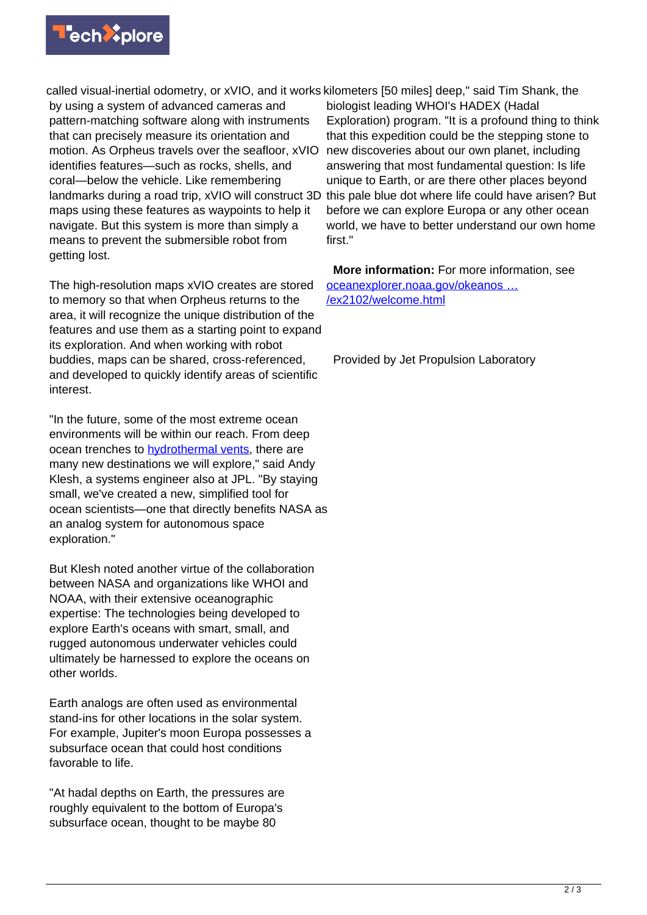

called visual-inertial odometry, or xVIO, and it works kilometers [50 miles] deep," said Tim Shank, the by using a system of advanced cameras and pattern-matching software along with instruments that can precisely measure its orientation and motion. As Orpheus travels over the seafloor, xVIO identifies features—such as rocks, shells, and coral—below the vehicle. Like remembering landmarks during a road trip, xVIO will construct 3D maps using these features as waypoints to help it navigate. But this system is more than simply a means to prevent the submersible robot from getting lost.

The high-resolution maps xVIO creates are stored to memory so that when Orpheus returns to the area, it will recognize the unique distribution of the features and use them as a starting point to expand its exploration. And when working with robot buddies, maps can be shared, cross-referenced, and developed to quickly identify areas of scientific interest.

"In the future, some of the most extreme ocean environments will be within our reach. From deep ocean trenches to **[hydrothermal vents](https://techxplore.com/tags/hydrothermal+vents/)**, there are many new destinations we will explore," said Andy Klesh, a systems engineer also at JPL. "By staying small, we've created a new, simplified tool for ocean scientists—one that directly benefits NASA as an analog system for autonomous space exploration."

But Klesh noted another virtue of the collaboration between NASA and organizations like WHOI and NOAA, with their extensive oceanographic expertise: The technologies being developed to explore Earth's oceans with smart, small, and rugged autonomous underwater vehicles could ultimately be harnessed to explore the oceans on other worlds.

Earth analogs are often used as environmental stand-ins for other locations in the solar system. For example, Jupiter's moon Europa possesses a subsurface ocean that could host conditions favorable to life.

"At hadal depths on Earth, the pressures are roughly equivalent to the bottom of Europa's subsurface ocean, thought to be maybe 80

biologist leading WHOI's HADEX (Hadal Exploration) program. "It is a profound thing to think that this expedition could be the stepping stone to new discoveries about our own planet, including answering that most fundamental question: Is life unique to Earth, or are there other places beyond this pale blue dot where life could have arisen? But before we can explore Europa or any other ocean world, we have to better understand our own home first."

 **More information:** For more information, see [oceanexplorer.noaa.gov/okeanos …](https://oceanexplorer.noaa.gov/okeanos/explorations/ex2102/welcome.html) [/ex2102/welcome.html](https://oceanexplorer.noaa.gov/okeanos/explorations/ex2102/welcome.html)

Provided by Jet Propulsion Laboratory